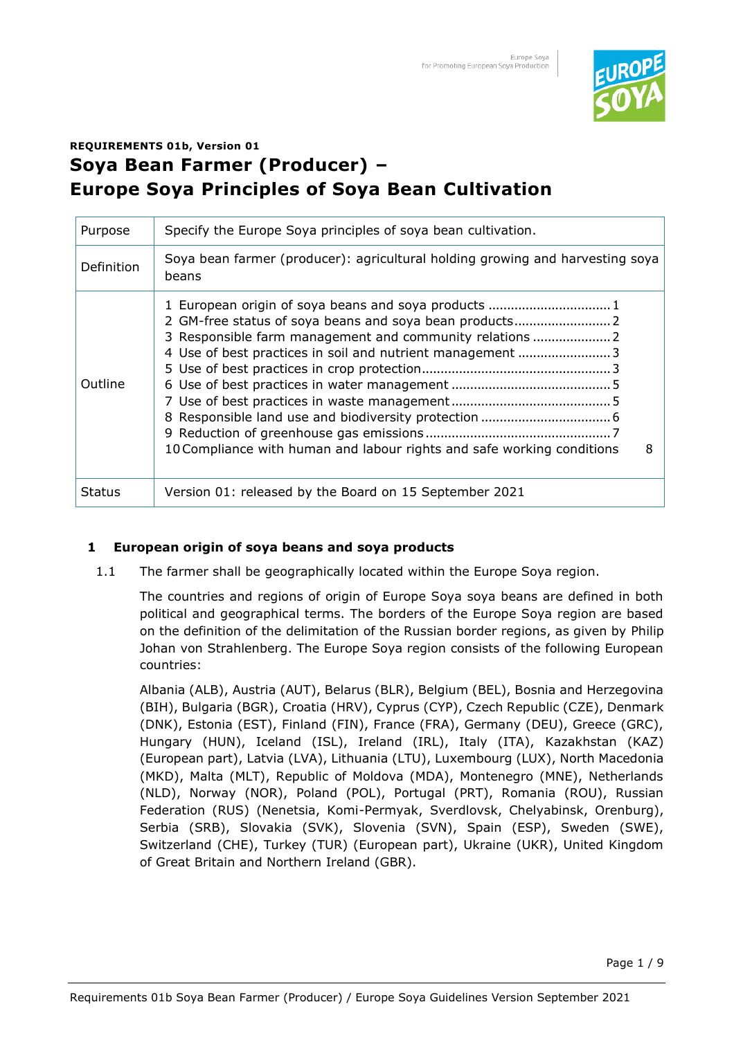

# **REQUIREMENTS 01b, Version 01 Soya Bean Farmer (Producer) – Europe Soya Principles of Soya Bean Cultivation**

| Purpose           | Specify the Europe Soya principles of soya bean cultivation.                                                                                                                                                                                                                                                            |
|-------------------|-------------------------------------------------------------------------------------------------------------------------------------------------------------------------------------------------------------------------------------------------------------------------------------------------------------------------|
| <b>Definition</b> | Soya bean farmer (producer): agricultural holding growing and harvesting soya<br>beans                                                                                                                                                                                                                                  |
| <b>Outline</b>    | 1 European origin of soya beans and soya products  1<br>2 GM-free status of soya beans and soya bean products 2<br>3 Responsible farm management and community relations  2<br>4 Use of best practices in soil and nutrient management 3<br>10 Compliance with human and labour rights and safe working conditions<br>8 |
| <b>Status</b>     | Version 01: released by the Board on 15 September 2021                                                                                                                                                                                                                                                                  |

## **1 European origin of soya beans and soya products**

1.1 The farmer shall be geographically located within the Europe Soya region.

The countries and regions of origin of Europe Soya soya beans are defined in both political and geographical terms. The borders of the Europe Soya region are based on the definition of the delimitation of the Russian border regions, as given by Philip Johan von Strahlenberg. The Europe Soya region consists of the following European countries:

Albania (ALB), Austria (AUT), Belarus (BLR), Belgium (BEL), Bosnia and Herzegovina (BIH), Bulgaria (BGR), Croatia (HRV), Cyprus (CYP), Czech Republic (CZE), Denmark (DNK), Estonia (EST), Finland (FIN), France (FRA), Germany (DEU), Greece (GRC), Hungary (HUN), Iceland (ISL), Ireland (IRL), Italy (ITA), Kazakhstan (KAZ) (European part), Latvia (LVA), Lithuania (LTU), Luxembourg (LUX), North Macedonia (MKD), Malta (MLT), Republic of Moldova (MDA), Montenegro (MNE), Netherlands (NLD), Norway (NOR), Poland (POL), Portugal (PRT), Romania (ROU), Russian Federation (RUS) (Nenetsia, Komi-Permyak, Sverdlovsk, Chelyabinsk, Orenburg), Serbia (SRB), Slovakia (SVK), Slovenia (SVN), Spain (ESP), Sweden (SWE), Switzerland (CHE), Turkey (TUR) (European part), Ukraine (UKR), United Kingdom of Great Britain and Northern Ireland (GBR).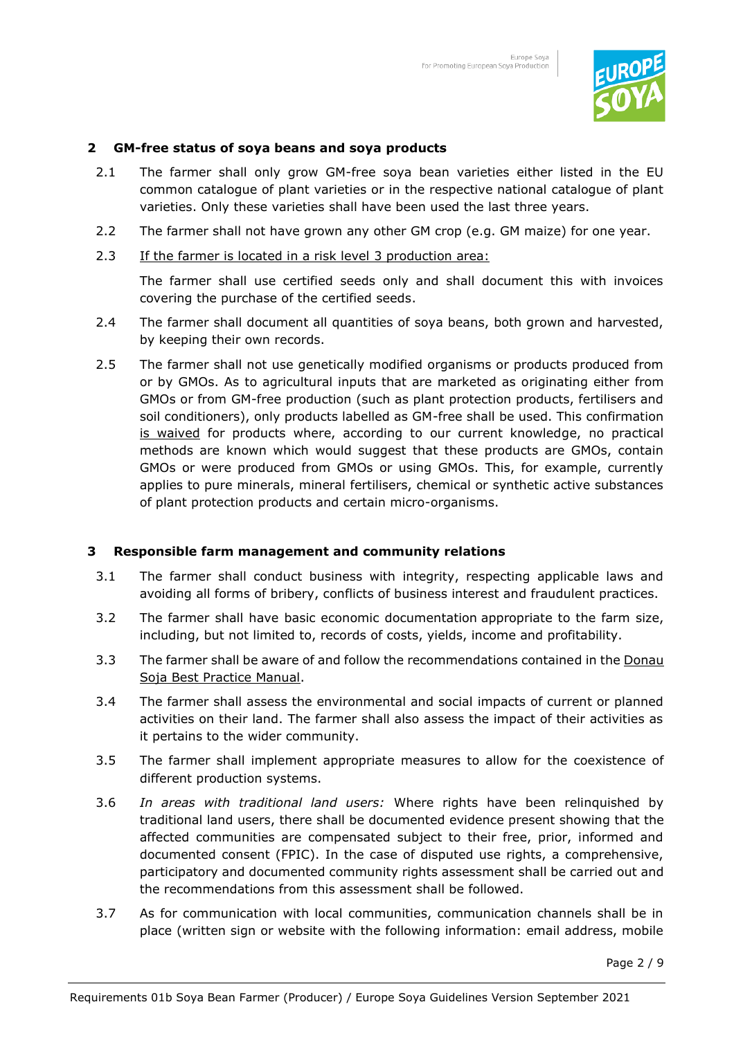

## **2 GM-free status of soya beans and soya products**

- 2.1 The farmer shall only grow GM-free soya bean varieties either listed in the EU common catalogue of plant varieties or in the respective national catalogue of plant varieties. Only these varieties shall have been used the last three years.
- 2.2 The farmer shall not have grown any other GM crop (e.g. GM maize) for one year.
- 2.3 If the farmer is located in a risk level 3 production area:

The farmer shall use certified seeds only and shall document this with invoices covering the purchase of the certified seeds.

- 2.4 The farmer shall document all quantities of soya beans, both grown and harvested, by keeping their own records.
- 2.5 The farmer shall not use genetically modified organisms or products produced from or by GMOs. As to agricultural inputs that are marketed as originating either from GMOs or from GM-free production (such as plant protection products, fertilisers and soil conditioners), only products labelled as GM-free shall be used. This confirmation is waived for products where, according to our current knowledge, no practical methods are known which would suggest that these products are GMOs, contain GMOs or were produced from GMOs or using GMOs. This, for example, currently applies to pure minerals, mineral fertilisers, chemical or synthetic active substances of plant protection products and certain micro-organisms.

## **3 Responsible farm management and community relations**

- 3.1 The farmer shall conduct business with integrity, respecting applicable laws and avoiding all forms of bribery, conflicts of business interest and fraudulent practices.
- 3.2 The farmer shall have basic economic documentation appropriate to the farm size, including, but not limited to, records of costs, yields, income and profitability.
- 3.3 The farmer shall be aware of and follow the recommendations contained in the Donau Soja Best Practice Manual.
- 3.4 The farmer shall assess the environmental and social impacts of current or planned activities on their land. The farmer shall also assess the impact of their activities as it pertains to the wider community.
- 3.5 The farmer shall implement appropriate measures to allow for the coexistence of different production systems.
- 3.6 *In areas with traditional land users:* Where rights have been relinquished by traditional land users, there shall be documented evidence present showing that the affected communities are compensated subject to their free, prior, informed and documented consent (FPIC). In the case of disputed use rights, a comprehensive, participatory and documented community rights assessment shall be carried out and the recommendations from this assessment shall be followed.
- 3.7 As for communication with local communities, communication channels shall be in place (written sign or website with the following information: email address, mobile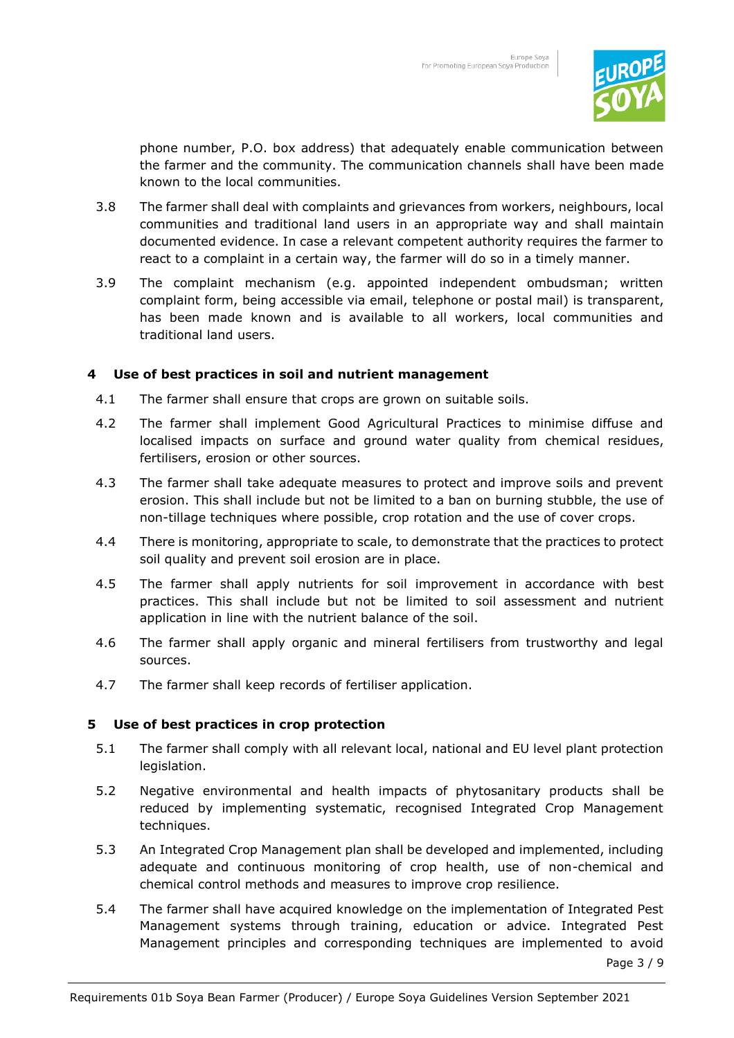

phone number, P.O. box address) that adequately enable communication between the farmer and the community. The communication channels shall have been made known to the local communities.

- 3.8 The farmer shall deal with complaints and grievances from workers, neighbours, local communities and traditional land users in an appropriate way and shall maintain documented evidence. In case a relevant competent authority requires the farmer to react to a complaint in a certain way, the farmer will do so in a timely manner.
- 3.9 The complaint mechanism (e.g. appointed independent ombudsman; written complaint form, being accessible via email, telephone or postal mail) is transparent, has been made known and is available to all workers, local communities and traditional land users.

## **4 Use of best practices in soil and nutrient management**

- 4.1 The farmer shall ensure that crops are grown on suitable soils.
- 4.2 The farmer shall implement Good Agricultural Practices to minimise diffuse and localised impacts on surface and ground water quality from chemical residues, fertilisers, erosion or other sources.
- 4.3 The farmer shall take adequate measures to protect and improve soils and prevent erosion. This shall include but not be limited to a ban on burning stubble, the use of non-tillage techniques where possible, crop rotation and the use of cover crops.
- 4.4 There is monitoring, appropriate to scale, to demonstrate that the practices to protect soil quality and prevent soil erosion are in place.
- 4.5 The farmer shall apply nutrients for soil improvement in accordance with best practices. This shall include but not be limited to soil assessment and nutrient application in line with the nutrient balance of the soil.
- 4.6 The farmer shall apply organic and mineral fertilisers from trustworthy and legal sources.
- 4.7 The farmer shall keep records of fertiliser application.

## **5 Use of best practices in crop protection**

- 5.1 The farmer shall comply with all relevant local, national and EU level plant protection legislation.
- 5.2 Negative environmental and health impacts of phytosanitary products shall be reduced by implementing systematic, recognised Integrated Crop Management techniques.
- 5.3 An Integrated Crop Management plan shall be developed and implemented, including adequate and continuous monitoring of crop health, use of non-chemical and chemical control methods and measures to improve crop resilience.
- Page 3 / 9 5.4 The farmer shall have acquired knowledge on the implementation of Integrated Pest Management systems through training, education or advice. Integrated Pest Management principles and corresponding techniques are implemented to avoid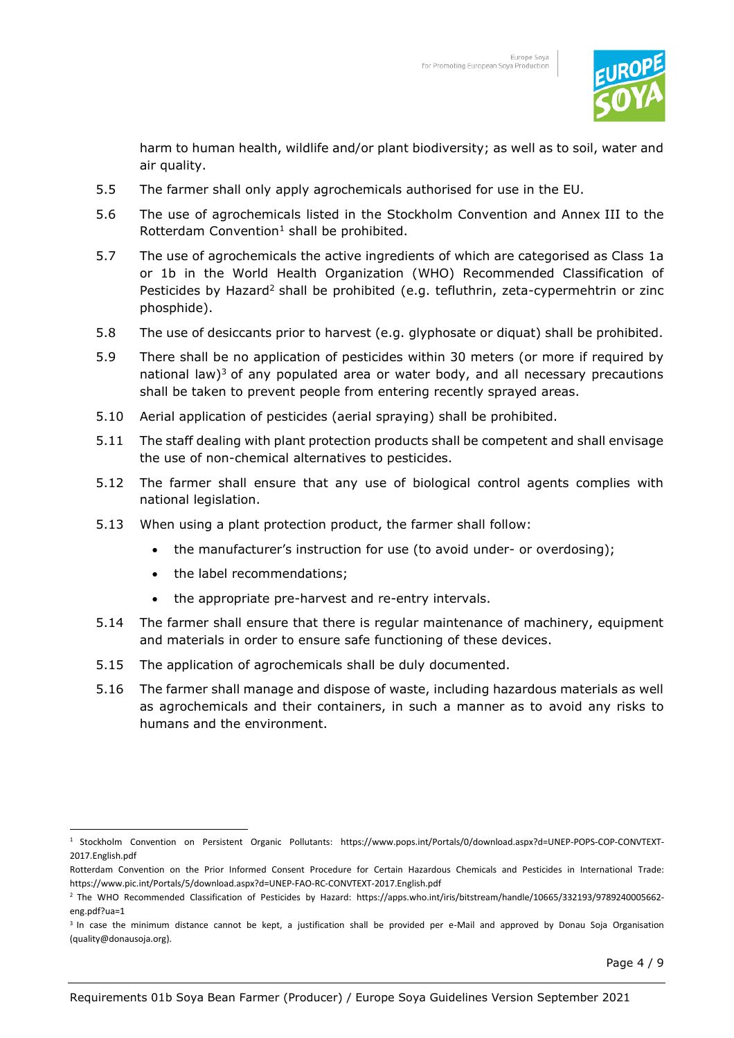

harm to human health, wildlife and/or plant biodiversity; as well as to soil, water and air quality.

- 5.5 The farmer shall only apply agrochemicals authorised for use in the EU.
- 5.6 The use of agrochemicals listed in the Stockholm Convention and Annex III to the Rotterdam Convention $^1$  shall be prohibited.
- 5.7 The use of agrochemicals the active ingredients of which are categorised as Class 1a or 1b in the World Health Organization (WHO) Recommended Classification of Pesticides by Hazard<sup>2</sup> shall be prohibited (e.g. tefluthrin, zeta-cypermehtrin or zinc phosphide).
- 5.8 The use of desiccants prior to harvest (e.g. glyphosate or diquat) shall be prohibited.
- 5.9 There shall be no application of pesticides within 30 meters (or more if required by national law)<sup>3</sup> of any populated area or water body, and all necessary precautions shall be taken to prevent people from entering recently sprayed areas.
- 5.10 Aerial application of pesticides (aerial spraying) shall be prohibited.
- 5.11 The staff dealing with plant protection products shall be competent and shall envisage the use of non-chemical alternatives to pesticides.
- 5.12 The farmer shall ensure that any use of biological control agents complies with national legislation.
- 5.13 When using a plant protection product, the farmer shall follow:
	- the manufacturer's instruction for use (to avoid under- or overdosing);
	- the label recommendations;
	- the appropriate pre-harvest and re-entry intervals.
- 5.14 The farmer shall ensure that there is regular maintenance of machinery, equipment and materials in order to ensure safe functioning of these devices.
- 5.15 The application of agrochemicals shall be duly documented.
- 5.16 The farmer shall manage and dispose of waste, including hazardous materials as well as agrochemicals and their containers, in such a manner as to avoid any risks to humans and the environment.

<sup>1</sup> Stockholm Convention on Persistent Organic Pollutants: https:/[/www.pops.int/Portals/0/download.aspx?d=UNEP-POPS-COP-CONVTEXT-](http://www.pops.int/Portals/0/download.aspx?d=UNEP-POPS-COP-CONVTEXT-2017.English.pdf)[2017.English.pdf](http://www.pops.int/Portals/0/download.aspx?d=UNEP-POPS-COP-CONVTEXT-2017.English.pdf) 

Rotterdam Convention on the Prior Informed Consent Procedure for Certain Hazardous Chemicals and Pesticides in International Trade: https:/[/www.pic.int/Portals/5/download.aspx?d=UNEP-FAO-RC-CONVTEXT-2017.English.pdf](http://www.pic.int/Portals/5/download.aspx?d=UNEP-FAO-RC-CONVTEXT-2017.English.pdf) 

<sup>2</sup> The WHO Recommended Classification of Pesticides by Hazard: [https://apps.who.int/iris/bitstream/handle/10665/332193/9789240005662](https://apps.who.int/iris/bitstream/handle/10665/332193/9789240005662-eng.pdf?ua=1) [eng.pdf?ua=1](https://apps.who.int/iris/bitstream/handle/10665/332193/9789240005662-eng.pdf?ua=1) 

<sup>&</sup>lt;sup>3</sup> In case the minimum distance cannot be kept, a justification shall be provided per e-Mail and approved by Donau Soja Organisation (quality@donausoja.org).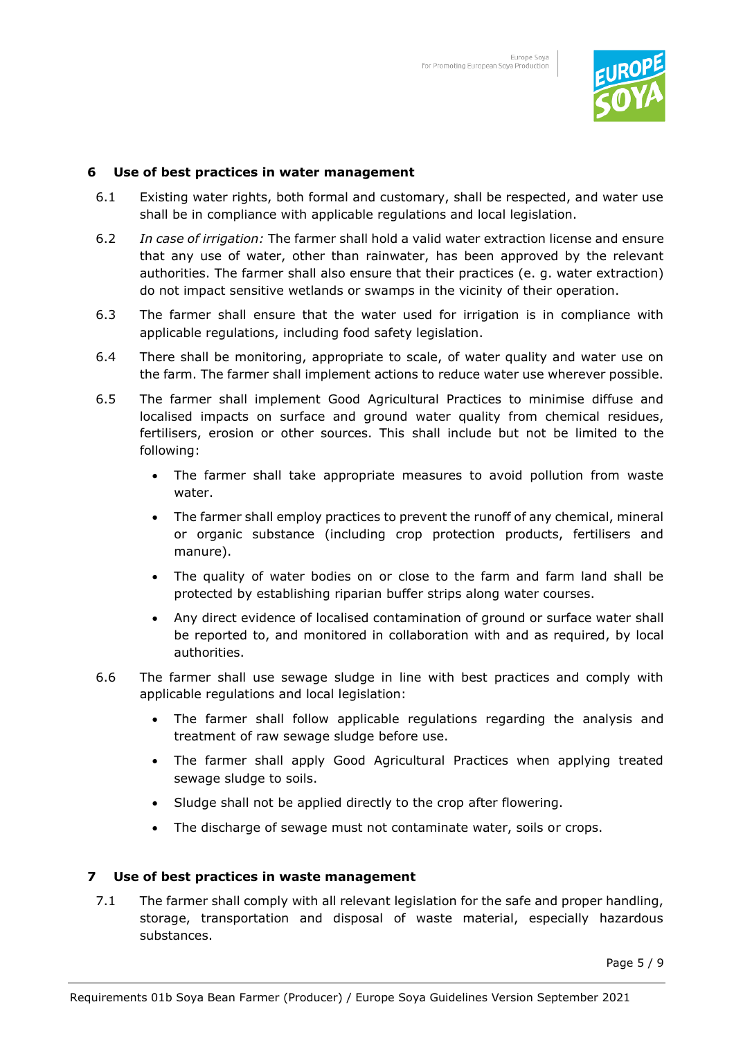

## **6 Use of best practices in water management**

- 6.1 Existing water rights, both formal and customary, shall be respected, and water use shall be in compliance with applicable regulations and local legislation.
- 6.2 *In case of irrigation:* The farmer shall hold a valid water extraction license and ensure that any use of water, other than rainwater, has been approved by the relevant authorities. The farmer shall also ensure that their practices (e. g. water extraction) do not impact sensitive wetlands or swamps in the vicinity of their operation.
- 6.3 The farmer shall ensure that the water used for irrigation is in compliance with applicable regulations, including food safety legislation.
- 6.4 There shall be monitoring, appropriate to scale, of water quality and water use on the farm. The farmer shall implement actions to reduce water use wherever possible.
- 6.5 The farmer shall implement Good Agricultural Practices to minimise diffuse and localised impacts on surface and ground water quality from chemical residues, fertilisers, erosion or other sources. This shall include but not be limited to the following:
	- The farmer shall take appropriate measures to avoid pollution from waste water.
	- The farmer shall employ practices to prevent the runoff of any chemical, mineral or organic substance (including crop protection products, fertilisers and manure).
	- The quality of water bodies on or close to the farm and farm land shall be protected by establishing riparian buffer strips along water courses.
	- Any direct evidence of localised contamination of ground or surface water shall be reported to, and monitored in collaboration with and as required, by local authorities.
- 6.6 The farmer shall use sewage sludge in line with best practices and comply with applicable regulations and local legislation:
	- The farmer shall follow applicable regulations regarding the analysis and treatment of raw sewage sludge before use.
	- The farmer shall apply Good Agricultural Practices when applying treated sewage sludge to soils.
	- Sludge shall not be applied directly to the crop after flowering.
	- The discharge of sewage must not contaminate water, soils or crops.

## **7 Use of best practices in waste management**

7.1 The farmer shall comply with all relevant legislation for the safe and proper handling, storage, transportation and disposal of waste material, especially hazardous substances.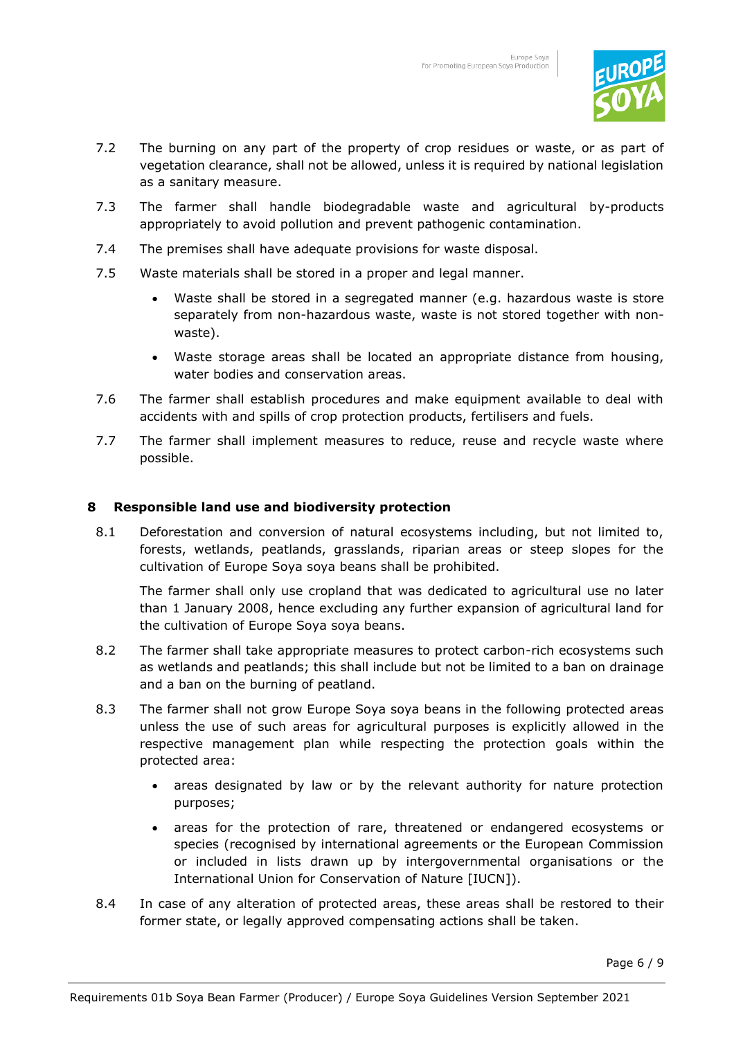

- 7.2 The burning on any part of the property of crop residues or waste, or as part of vegetation clearance, shall not be allowed, unless it is required by national legislation as a sanitary measure.
- 7.3 The farmer shall handle biodegradable waste and agricultural by-products appropriately to avoid pollution and prevent pathogenic contamination.
- 7.4 The premises shall have adequate provisions for waste disposal.
- 7.5 Waste materials shall be stored in a proper and legal manner.
	- Waste shall be stored in a segregated manner (e.g. hazardous waste is store separately from non-hazardous waste, waste is not stored together with nonwaste).
	- Waste storage areas shall be located an appropriate distance from housing, water bodies and conservation areas.
- 7.6 The farmer shall establish procedures and make equipment available to deal with accidents with and spills of crop protection products, fertilisers and fuels.
- 7.7 The farmer shall implement measures to reduce, reuse and recycle waste where possible.

#### **8 Responsible land use and biodiversity protection**

8.1 Deforestation and conversion of natural ecosystems including, but not limited to, forests, wetlands, peatlands, grasslands, riparian areas or steep slopes for the cultivation of Europe Soya soya beans shall be prohibited.

The farmer shall only use cropland that was dedicated to agricultural use no later than 1 January 2008, hence excluding any further expansion of agricultural land for the cultivation of Europe Soya soya beans.

- 8.2 The farmer shall take appropriate measures to protect carbon-rich ecosystems such as wetlands and peatlands; this shall include but not be limited to a ban on drainage and a ban on the burning of peatland.
- 8.3 The farmer shall not grow Europe Soya soya beans in the following protected areas unless the use of such areas for agricultural purposes is explicitly allowed in the respective management plan while respecting the protection goals within the protected area:
	- areas designated by law or by the relevant authority for nature protection purposes;
	- areas for the protection of rare, threatened or endangered ecosystems or species (recognised by international agreements or the European Commission or included in lists drawn up by intergovernmental organisations or the International Union for Conservation of Nature [IUCN]).
- 8.4 In case of any alteration of protected areas, these areas shall be restored to their former state, or legally approved compensating actions shall be taken.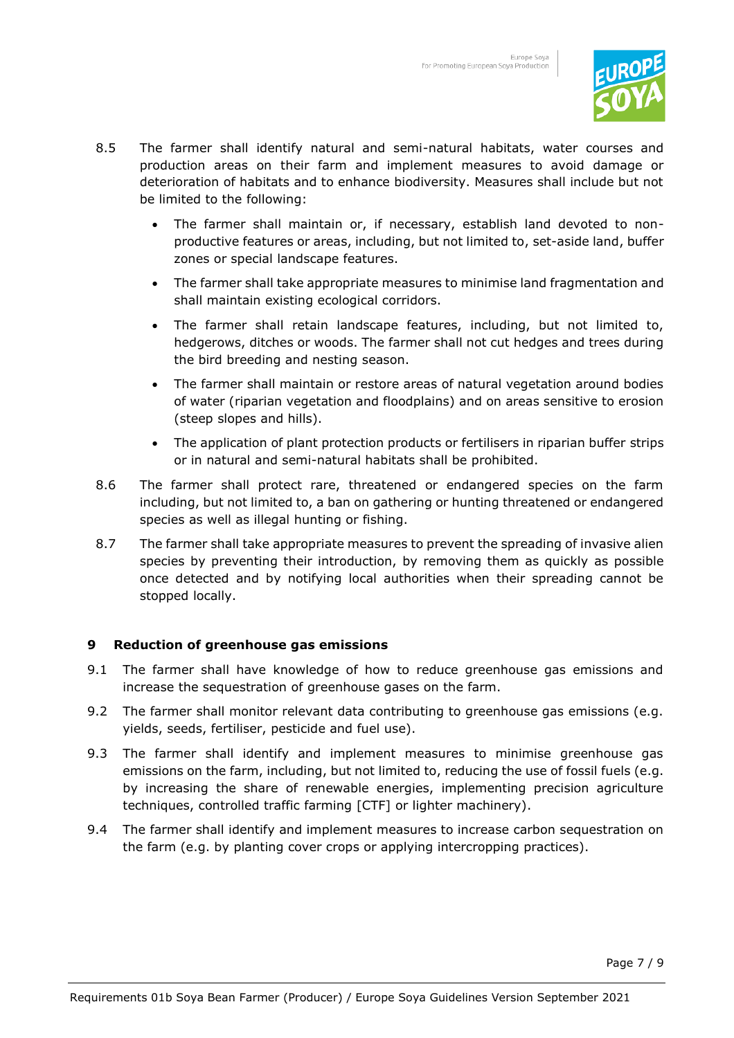

- 8.5 The farmer shall identify natural and semi-natural habitats, water courses and production areas on their farm and implement measures to avoid damage or deterioration of habitats and to enhance biodiversity. Measures shall include but not be limited to the following:
	- The farmer shall maintain or, if necessary, establish land devoted to nonproductive features or areas, including, but not limited to, set-aside land, buffer zones or special landscape features.
	- The farmer shall take appropriate measures to minimise land fragmentation and shall maintain existing ecological corridors.
	- The farmer shall retain landscape features, including, but not limited to, hedgerows, ditches or woods. The farmer shall not cut hedges and trees during the bird breeding and nesting season.
	- The farmer shall maintain or restore areas of natural vegetation around bodies of water (riparian vegetation and floodplains) and on areas sensitive to erosion (steep slopes and hills).
	- The application of plant protection products or fertilisers in riparian buffer strips or in natural and semi-natural habitats shall be prohibited.
- 8.6 The farmer shall protect rare, threatened or endangered species on the farm including, but not limited to, a ban on gathering or hunting threatened or endangered species as well as illegal hunting or fishing.
- 8.7 The farmer shall take appropriate measures to prevent the spreading of invasive alien species by preventing their introduction, by removing them as quickly as possible once detected and by notifying local authorities when their spreading cannot be stopped locally.

## **9 Reduction of greenhouse gas emissions**

- 9.1 The farmer shall have knowledge of how to reduce greenhouse gas emissions and increase the sequestration of greenhouse gases on the farm.
- 9.2 The farmer shall monitor relevant data contributing to greenhouse gas emissions (e.g. yields, seeds, fertiliser, pesticide and fuel use).
- 9.3 The farmer shall identify and implement measures to minimise greenhouse gas emissions on the farm, including, but not limited to, reducing the use of fossil fuels (e.g. by increasing the share of renewable energies, implementing precision agriculture techniques, controlled traffic farming [CTF] or lighter machinery).
- 9.4 The farmer shall identify and implement measures to increase carbon sequestration on the farm (e.g. by planting cover crops or applying intercropping practices).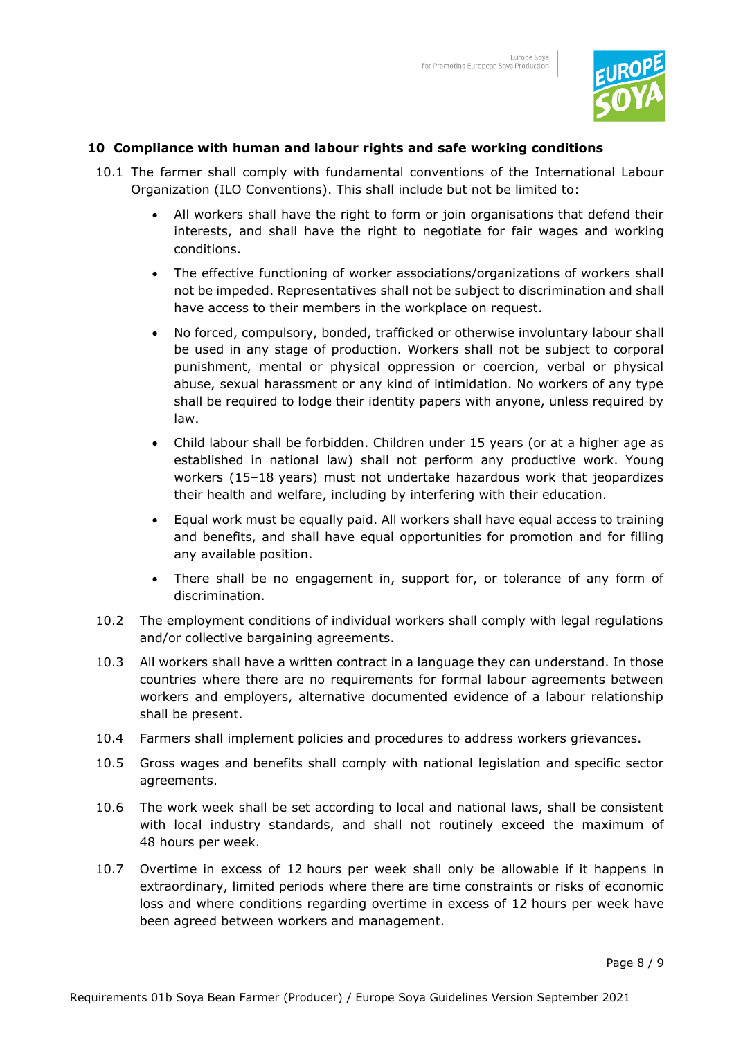

## **10 Compliance with human and labour rights and safe working conditions**

- 10.1 The farmer shall comply with fundamental conventions of the International Labour Organization (ILO Conventions). This shall include but not be limited to:
	- All workers shall have the right to form or join organisations that defend their interests, and shall have the right to negotiate for fair wages and working conditions.
	- The effective functioning of worker associations/organizations of workers shall not be impeded. Representatives shall not be subject to discrimination and shall have access to their members in the workplace on request.
	- No forced, compulsory, bonded, trafficked or otherwise involuntary labour shall be used in any stage of production. Workers shall not be subject to corporal punishment, mental or physical oppression or coercion, verbal or physical abuse, sexual harassment or any kind of intimidation. No workers of any type shall be required to lodge their identity papers with anyone, unless required by law.
	- Child labour shall be forbidden. Children under 15 years (or at a higher age as established in national law) shall not perform any productive work. Young workers (15–18 years) must not undertake hazardous work that jeopardizes their health and welfare, including by interfering with their education.
	- Equal work must be equally paid. All workers shall have equal access to training and benefits, and shall have equal opportunities for promotion and for filling any available position.
	- There shall be no engagement in, support for, or tolerance of any form of discrimination.
- 10.2 The employment conditions of individual workers shall comply with legal regulations and/or collective bargaining agreements.
- 10.3 All workers shall have a written contract in a language they can understand. In those countries where there are no requirements for formal labour agreements between workers and employers, alternative documented evidence of a labour relationship shall be present.
- 10.4 Farmers shall implement policies and procedures to address workers grievances.
- 10.5 Gross wages and benefits shall comply with national legislation and specific sector agreements.
- 10.6 The work week shall be set according to local and national laws, shall be consistent with local industry standards, and shall not routinely exceed the maximum of 48 hours per week.
- 10.7 Overtime in excess of 12 hours per week shall only be allowable if it happens in extraordinary, limited periods where there are time constraints or risks of economic loss and where conditions regarding overtime in excess of 12 hours per week have been agreed between workers and management.